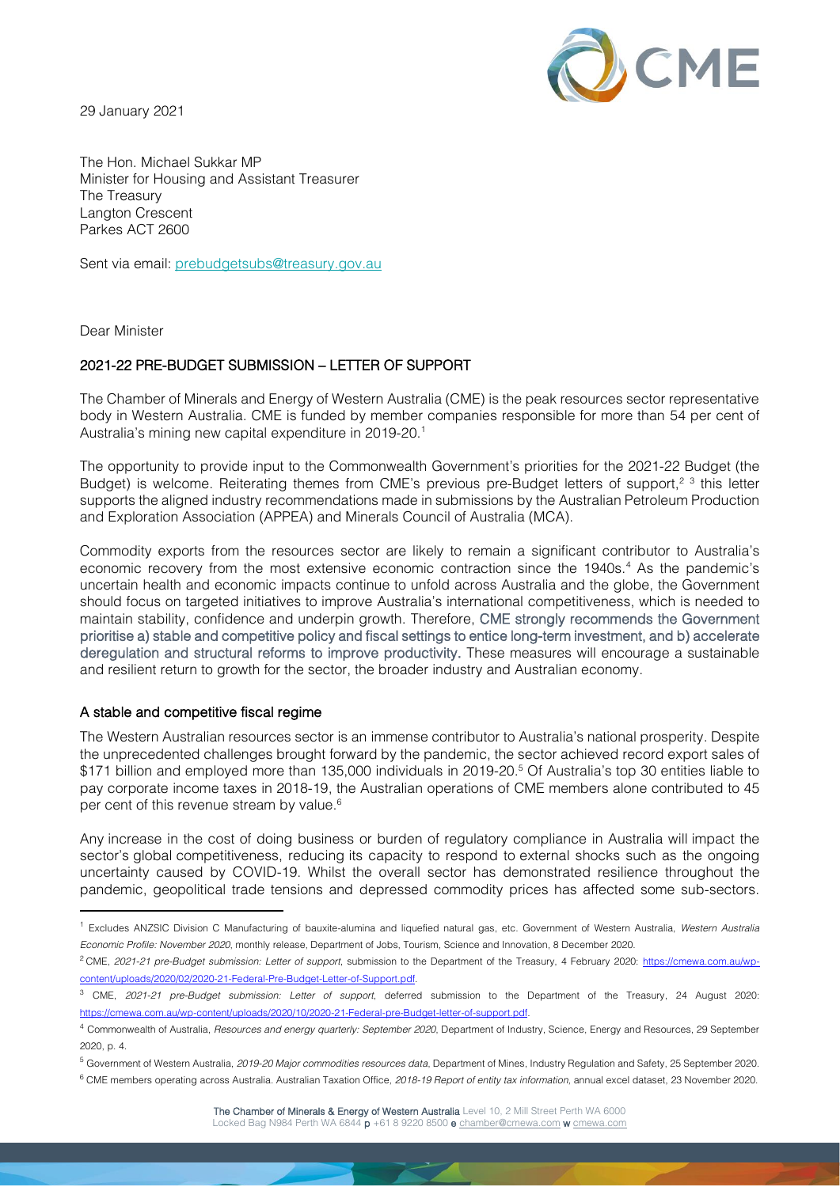29 January 2021



The Hon. Michael Sukkar MP Minister for Housing and Assistant Treasurer The Treasury Langton Crescent Parkes ACT 2600

Sent via email: [prebudgetsubs@treasury.gov.au](mailto:prebudgetsubs@treasury.gov.au)

Dear Minister

# 2021-22 PRE-BUDGET SUBMISSION – LETTER OF SUPPORT

The Chamber of Minerals and Energy of Western Australia (CME) is the peak resources sector representative body in Western Australia. CME is funded by member companies responsible for more than 54 per cent of Australia's mining new capital expenditure in 2019-20. 1

The opportunity to provide input to the Commonwealth Government's priorities for the 2021-22 Budget (the Budget) is welcome. Reiterating themes from CME's previous pre-Budget letters of support,<sup>2 3</sup> this letter supports the aligned industry recommendations made in submissions by the Australian Petroleum Production and Exploration Association (APPEA) and Minerals Council of Australia (MCA).

Commodity exports from the resources sector are likely to remain a significant contributor to Australia's economic recovery from the most extensive economic contraction since the 1940s.<sup>4</sup> As the pandemic's uncertain health and economic impacts continue to unfold across Australia and the globe, the Government should focus on targeted initiatives to improve Australia's international competitiveness, which is needed to maintain stability, confidence and underpin growth. Therefore, CME strongly recommends the Government prioritise a) stable and competitive policy and fiscal settings to entice long-term investment, and b) accelerate deregulation and structural reforms to improve productivity. These measures will encourage a sustainable and resilient return to growth for the sector, the broader industry and Australian economy.

### A stable and competitive fiscal regime

The Western Australian resources sector is an immense contributor to Australia's national prosperity. Despite the unprecedented challenges brought forward by the pandemic, the sector achieved record export sales of \$171 billion and employed more than 135,000 individuals in 2019-20. <sup>5</sup> Of Australia's top 30 entities liable to pay corporate income taxes in 2018-19, the Australian operations of CME members alone contributed to 45 per cent of this revenue stream by value. 6

Any increase in the cost of doing business or burden of regulatory compliance in Australia will impact the sector's global competitiveness, reducing its capacity to respond to external shocks such as the ongoing uncertainty caused by COVID-19. Whilst the overall sector has demonstrated resilience throughout the pandemic, geopolitical trade tensions and depressed commodity prices has affected some sub-sectors.

<sup>1</sup> Excludes ANZSIC Division C Manufacturing of bauxite-alumina and liquefied natural gas, etc. Government of Western Australia, *Western Australia Economic Profile: November 2020*, monthly release, Department of Jobs, Tourism, Science and Innovation, 8 December 2020.

<sup>2</sup> CME, *2021-21 pre-Budget submission: Letter of support*, submission to the Department of the Treasury, 4 February 2020: [https://cmewa.com.au/wp](https://cmewa.com.au/wp-content/uploads/2020/02/2020-21-Federal-Pre-Budget-Letter-of-Support.pdf)[content/uploads/2020/02/2020-21-Federal-Pre-Budget-Letter-of-Support.pdf.](https://cmewa.com.au/wp-content/uploads/2020/02/2020-21-Federal-Pre-Budget-Letter-of-Support.pdf)

<sup>3</sup> CME, *2021-21 pre-Budget submission: Letter of support*, deferred submission to the Department of the Treasury, 24 August 2020: [https://cmewa.com.au/wp-content/uploads/2020/10/2020-21-Federal-pre-Budget-letter-of-support.pdf.](https://cmewa.com.au/wp-content/uploads/2020/10/2020-21-Federal-pre-Budget-letter-of-support.pdf)

<sup>4</sup> Commonwealth of Australia, *Resources and energy quarterly: September 2020*, Department of Industry, Science, Energy and Resources, 29 September 2020, p. 4.

<sup>5</sup> Government of Western Australia, *2019-20 Major commodities resources data*, Department of Mines, Industry Regulation and Safety, 25 September 2020.

<sup>6</sup> CME members operating across Australia. Australian Taxation Office, *2018-19 Report of entity tax information*, annual excel dataset, 23 November 2020.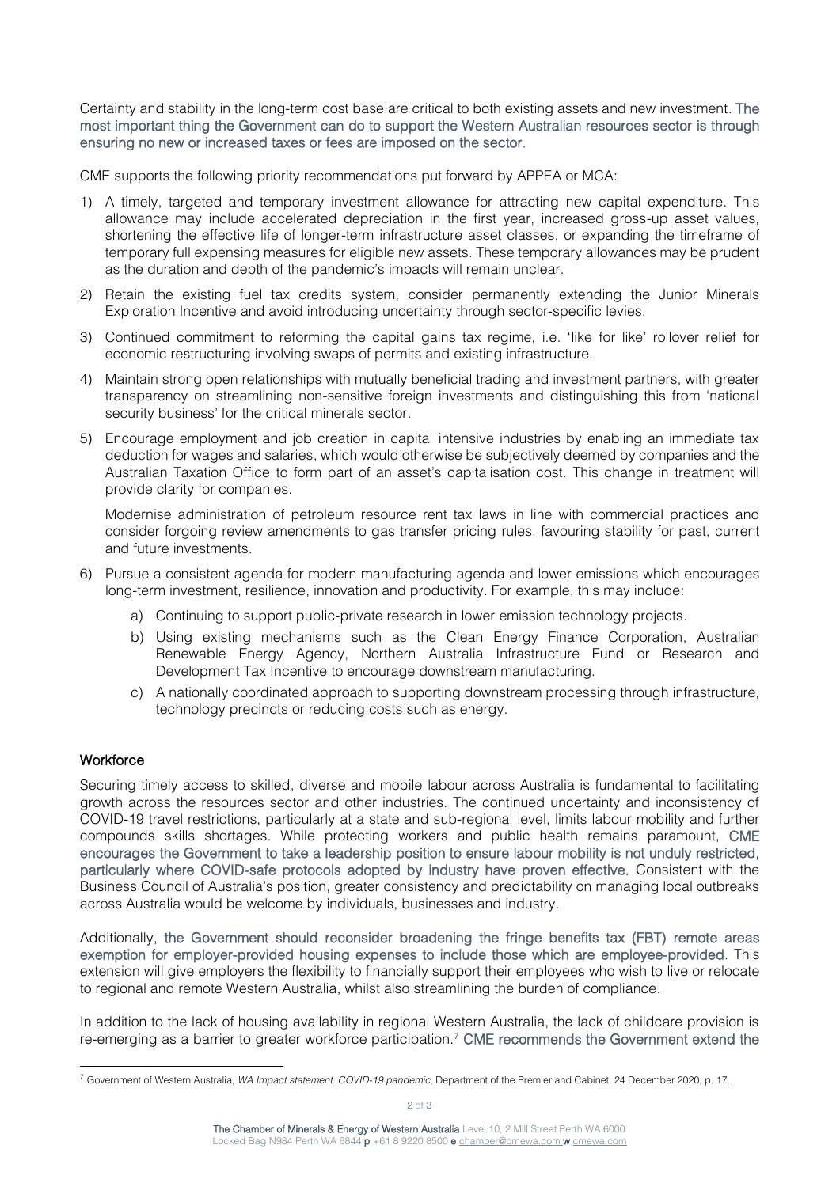Certainty and stability in the long-term cost base are critical to both existing assets and new investment. The most important thing the Government can do to support the Western Australian resources sector is through ensuring no new or increased taxes or fees are imposed on the sector.

CME supports the following priority recommendations put forward by APPEA or MCA:

- 1) A timely, targeted and temporary investment allowance for attracting new capital expenditure. This allowance may include accelerated depreciation in the first year, increased gross-up asset values, shortening the effective life of longer-term infrastructure asset classes, or expanding the timeframe of temporary full expensing measures for eligible new assets. These temporary allowances may be prudent as the duration and depth of the pandemic's impacts will remain unclear.
- 2) Retain the existing fuel tax credits system, consider permanently extending the Junior Minerals Exploration Incentive and avoid introducing uncertainty through sector-specific levies.
- 3) Continued commitment to reforming the capital gains tax regime, i.e. 'like for like' rollover relief for economic restructuring involving swaps of permits and existing infrastructure.
- 4) Maintain strong open relationships with mutually beneficial trading and investment partners, with greater transparency on streamlining non-sensitive foreign investments and distinguishing this from 'national security business' for the critical minerals sector.
- 5) Encourage employment and job creation in capital intensive industries by enabling an immediate tax deduction for wages and salaries, which would otherwise be subjectively deemed by companies and the Australian Taxation Office to form part of an asset's capitalisation cost. This change in treatment will provide clarity for companies.

Modernise administration of petroleum resource rent tax laws in line with commercial practices and consider forgoing review amendments to gas transfer pricing rules, favouring stability for past, current and future investments.

- 6) Pursue a consistent agenda for modern manufacturing agenda and lower emissions which encourages long-term investment, resilience, innovation and productivity. For example, this may include:
	- a) Continuing to support public-private research in lower emission technology projects.
	- b) Using existing mechanisms such as the Clean Energy Finance Corporation, Australian Renewable Energy Agency, Northern Australia Infrastructure Fund or Research and Development Tax Incentive to encourage downstream manufacturing.
	- c) A nationally coordinated approach to supporting downstream processing through infrastructure, technology precincts or reducing costs such as energy.

# **Workforce**

Securing timely access to skilled, diverse and mobile labour across Australia is fundamental to facilitating growth across the resources sector and other industries. The continued uncertainty and inconsistency of COVID-19 travel restrictions, particularly at a state and sub-regional level, limits labour mobility and further compounds skills shortages. While protecting workers and public health remains paramount, CME encourages the Government to take a leadership position to ensure labour mobility is not unduly restricted, particularly where COVID-safe protocols adopted by industry have proven effective. Consistent with the Business Council of Australia's position, greater consistency and predictability on managing local outbreaks across Australia would be welcome by individuals, businesses and industry.

Additionally, the Government should reconsider broadening the fringe benefits tax (FBT) remote areas exemption for employer-provided housing expenses to include those which are employee-provided. This extension will give employers the flexibility to financially support their employees who wish to live or relocate to regional and remote Western Australia, whilst also streamlining the burden of compliance.

In addition to the lack of housing availability in regional Western Australia, the lack of childcare provision is re-emerging as a barrier to greater workforce participation.<sup>7</sup> CME recommends the Government extend the

<sup>7</sup> Government of Western Australia, *WA Impact statement: COVID-19 pandemic*, Department of the Premier and Cabinet, 24 December 2020, p. 17.